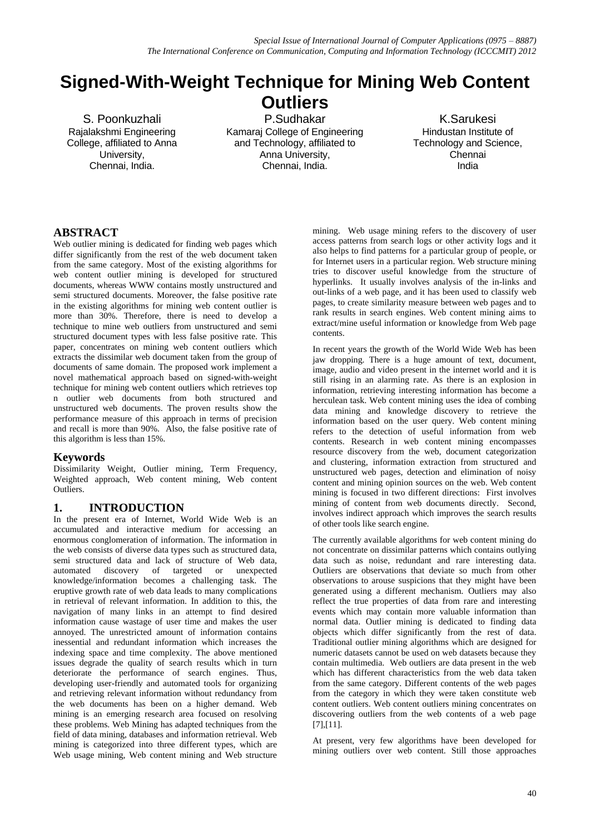# **Signed-With-Weight Technique for Mining Web Content Outliers**

S. Poonkuzhali Rajalakshmi Engineering College, affiliated to Anna University, Chennai, India.

P.Sudhakar Kamaraj College of Engineering and Technology, affiliated to Anna University, Chennai, India.

K.Sarukesi Hindustan Institute of Technology and Science, Chennai India

# **ABSTRACT**

Web outlier mining is dedicated for finding web pages which differ significantly from the rest of the web document taken from the same category. Most of the existing algorithms for web content outlier mining is developed for structured documents, whereas WWW contains mostly unstructured and semi structured documents. Moreover, the false positive rate in the existing algorithms for mining web content outlier is more than 30%. Therefore, there is need to develop a technique to mine web outliers from unstructured and semi structured document types with less false positive rate. This paper, concentrates on mining web content outliers which extracts the dissimilar web document taken from the group of documents of same domain. The proposed work implement a novel mathematical approach based on signed-with-weight technique for mining web content outliers which retrieves top n outlier web documents from both structured and unstructured web documents. The proven results show the performance measure of this approach in terms of precision and recall is more than 90%. Also, the false positive rate of this algorithm is less than 15%.

## **Keywords**

Dissimilarity Weight, Outlier mining, Term Frequency, Weighted approach, Web content mining, Web content Outliers.

## **1. INTRODUCTION**

In the present era of Internet, World Wide Web is an accumulated and interactive medium for accessing an enormous conglomeration of information. The information in the web consists of diverse data types such as structured data, semi structured data and lack of structure of Web data, automated discovery of targeted or unexpected knowledge/information becomes a challenging task. The eruptive growth rate of web data leads to many complications in retrieval of relevant information. In addition to this, the navigation of many links in an attempt to find desired information cause wastage of user time and makes the user annoyed. The unrestricted amount of information contains inessential and redundant information which increases the indexing space and time complexity. The above mentioned issues degrade the quality of search results which in turn deteriorate the performance of search engines. Thus, developing user-friendly and automated tools for organizing and retrieving relevant information without redundancy from the web documents has been on a higher demand. Web mining is an emerging research area focused on resolving these problems. Web Mining has adapted techniques from the field of data mining, databases and information retrieval. Web mining is categorized into three different types, which are Web usage mining, Web content mining and Web structure mining. Web usage mining refers to the discovery of user access patterns from search logs or other activity logs and it also helps to find patterns for a particular group of people, or for Internet users in a particular region. Web structure mining tries to discover useful knowledge from the structure of hyperlinks. It usually involves analysis of the in-links and out-links of a web page, and it has been used to classify web pages, to create similarity measure between web pages and to rank results in search engines. Web content mining aims to extract/mine useful information or knowledge from Web page contents.

In recent years the growth of the World Wide Web has been jaw dropping. There is a huge amount of text, document, image, audio and video present in the internet world and it is still rising in an alarming rate. As there is an explosion in information, retrieving interesting information has become a herculean task. Web content mining uses the idea of combing data mining and knowledge discovery to retrieve the information based on the user query. Web content mining refers to the detection of useful information from web contents. Research in web content mining encompasses resource discovery from the web, document categorization and clustering, information extraction from structured and unstructured web pages, detection and elimination of noisy content and mining opinion sources on the web. Web content mining is focused in two different directions: First involves mining of content from web documents directly. Second, involves indirect approach which improves the search results of other tools like search engine.

The currently available algorithms for web content mining do not concentrate on dissimilar patterns which contains outlying data such as noise, redundant and rare interesting data. Outliers are observations that deviate so much from other observations to arouse suspicions that they might have been generated using a different mechanism. Outliers may also reflect the true properties of data from rare and interesting events which may contain more valuable information than normal data. Outlier mining is dedicated to finding data objects which differ significantly from the rest of data. Traditional outlier mining algorithms which are designed for numeric datasets cannot be used on web datasets because they contain multimedia. Web outliers are data present in the web which has different characteristics from the web data taken from the same category. Different contents of the web pages from the category in which they were taken constitute web content outliers. Web content outliers mining concentrates on discovering outliers from the web contents of a web page [7],[11].

At present, very few algorithms have been developed for mining outliers over web content. Still those approaches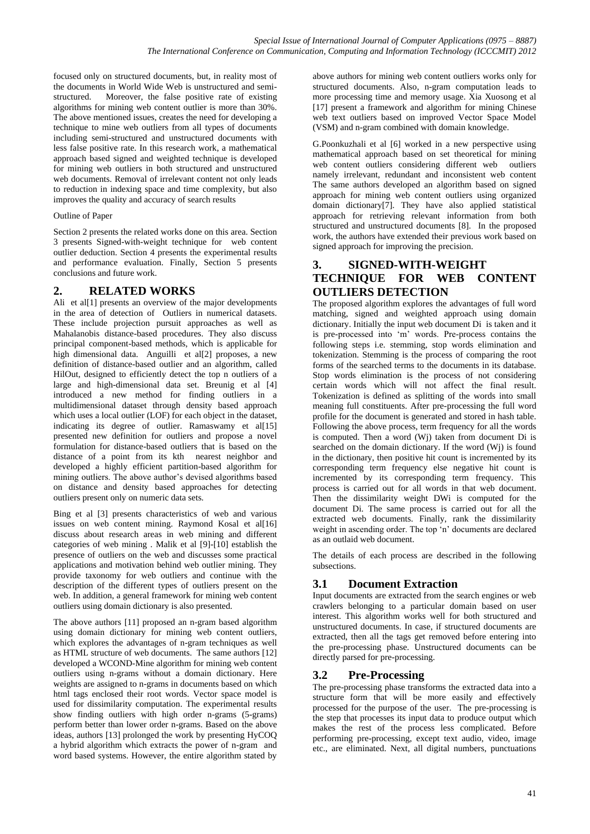focused only on structured documents, but, in reality most of the documents in World Wide Web is unstructured and semistructured. Moreover, the false positive rate of existing algorithms for mining web content outlier is more than 30%. The above mentioned issues, creates the need for developing a technique to mine web outliers from all types of documents including semi-structured and unstructured documents with less false positive rate. In this research work, a mathematical approach based signed and weighted technique is developed for mining web outliers in both structured and unstructured web documents. Removal of irrelevant content not only leads to reduction in indexing space and time complexity, but also improves the quality and accuracy of search results

#### Outline of Paper

Section 2 presents the related works done on this area. Section 3 presents Signed-with-weight technique for web content outlier deduction. Section 4 presents the experimental results and performance evaluation. Finally, Section 5 presents conclusions and future work.

## **2. RELATED WORKS**

Ali et al<sup>[1]</sup> presents an overview of the major developments in the area of detection of Outliers in numerical datasets. These include projection pursuit approaches as well as Mahalanobis distance-based procedures. They also discuss principal component-based methods, which is applicable for high dimensional data. Anguilli et al[2] proposes, a new definition of distance-based outlier and an algorithm, called HilOut, designed to efficiently detect the top n outliers of a large and high-dimensional data set. Breunig et al [4] introduced a new method for finding outliers in a multidimensional dataset through density based approach which uses a local outlier (LOF) for each object in the dataset, indicating its degree of outlier. Ramaswamy et al[15] presented new definition for outliers and propose a novel formulation for distance-based outliers that is based on the distance of a point from its kth nearest neighbor and developed a highly efficient partition-based algorithm for mining outliers. The above author"s devised algorithms based on distance and density based approaches for detecting outliers present only on numeric data sets.

Bing et al [3] presents characteristics of web and various issues on web content mining. Raymond Kosal et al[16] discuss about research areas in web mining and different categories of web mining . Malik et al [9]-[10] establish the presence of outliers on the web and discusses some practical applications and motivation behind web outlier mining. They provide taxonomy for web outliers and continue with the description of the different types of outliers present on the web. In addition, a general framework for mining web content outliers using domain dictionary is also presented.

The above authors [11] proposed an n-gram based algorithm using domain dictionary for mining web content outliers, which explores the advantages of n-gram techniques as well as HTML structure of web documents. The same authors [12] developed a WCOND-Mine algorithm for mining web content outliers using n-grams without a domain dictionary. Here weights are assigned to n-grams in documents based on which html tags enclosed their root words. Vector space model is used for dissimilarity computation. The experimental results show finding outliers with high order n-grams (5-grams) perform better than lower order n-grams. Based on the above ideas, authors [13] prolonged the work by presenting HyCOQ a hybrid algorithm which extracts the power of n-gram and word based systems. However, the entire algorithm stated by

above authors for mining web content outliers works only for structured documents. Also, n-gram computation leads to more processing time and memory usage. Xia Xuosong et al [17] present a framework and algorithm for mining Chinese web text outliers based on improved Vector Space Model (VSM) and n-gram combined with domain knowledge.

G.Poonkuzhali et al [6] worked in a new perspective using mathematical approach based on set theoretical for mining web content outliers considering different web outliers namely irrelevant, redundant and inconsistent web content The same authors developed an algorithm based on signed approach for mining web content outliers using organized domain dictionary[7]. They have also applied statistical approach for retrieving relevant information from both structured and unstructured documents [8]. In the proposed work, the authors have extended their previous work based on signed approach for improving the precision.

## **3. SIGNED-WITH-WEIGHT TECHNIQUE FOR WEB CONTENT OUTLIERS DETECTION**

The proposed algorithm explores the advantages of full word matching, signed and weighted approach using domain dictionary. Initially the input web document Di is taken and it is pre-processed into "m" words. Pre-process contains the following steps i.e. stemming, stop words elimination and tokenization. Stemming is the process of comparing the root forms of the searched terms to the documents in its database. Stop words elimination is the process of not considering certain words which will not affect the final result. Tokenization is defined as splitting of the words into small meaning full constituents. After pre-processing the full word profile for the document is generated and stored in hash table. Following the above process, term frequency for all the words is computed. Then a word (Wj) taken from document Di is searched on the domain dictionary. If the word (Wj) is found in the dictionary, then positive hit count is incremented by its corresponding term frequency else negative hit count is incremented by its corresponding term frequency. This process is carried out for all words in that web document. Then the dissimilarity weight DWi is computed for the document Di. The same process is carried out for all the extracted web documents. Finally, rank the dissimilarity weight in ascending order. The top 'n' documents are declared as an outlaid web document.

The details of each process are described in the following subsections.

# **3.1 Document Extraction**

Input documents are extracted from the search engines or web crawlers belonging to a particular domain based on user interest. This algorithm works well for both structured and unstructured documents. In case, if structured documents are extracted, then all the tags get removed before entering into the pre-processing phase. Unstructured documents can be directly parsed for pre-processing.

## **3.2 Pre-Processing**

The pre-processing phase transforms the extracted data into a structure form that will be more easily and effectively processed for the purpose of the user. The pre-processing is the step that processes its input data to produce output which makes the rest of the process less complicated. Before performing pre-processing, except text audio, video, image etc., are eliminated. Next, all digital numbers, punctuations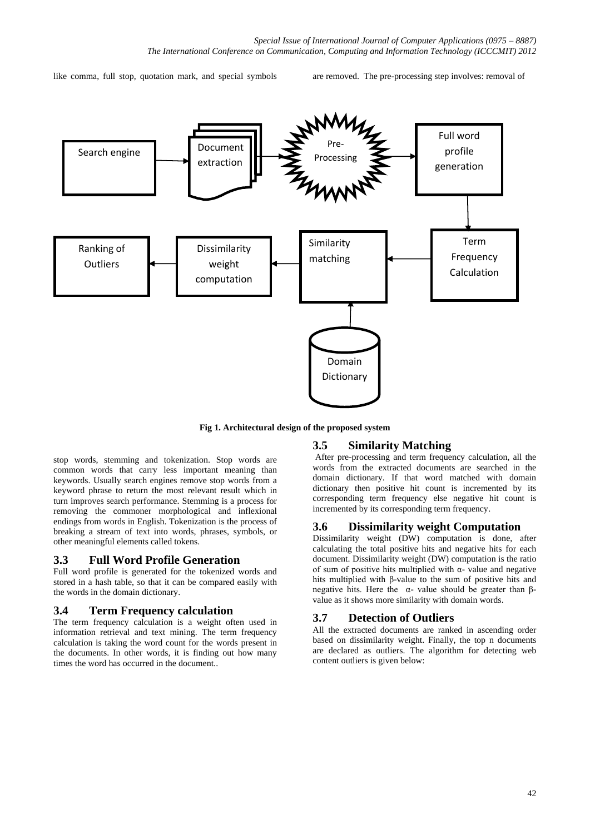like comma, full stop, quotation mark, and special symbols are removed. The pre-processing step involves: removal of



**Fig 1. Architectural design of the proposed system**

## **3.5 Similarity Matching**

stop words, stemming and tokenization. Stop words are common words that carry less important meaning than keywords. Usually search engines remove stop words from a keyword phrase to return the most relevant result which in turn improves search performance. Stemming is a process for removing the commoner morphological and inflexional endings from words in English. Tokenization is the process of breaking a stream of text into words, phrases, symbols, or other meaningful elements called tokens.

### **3.3 Full Word Profile Generation**

Full word profile is generated for the tokenized words and stored in a hash table, so that it can be compared easily with the words in the domain dictionary.

#### **3.4 Term Frequency calculation**

The term frequency calculation is a weight often used in information retrieval and text mining. The term frequency calculation is taking the word count for the words present in the documents. In other words, it is finding out how many times the word has occurred in the document..

After pre-processing and term frequency calculation, all the words from the extracted documents are searched in the domain dictionary. If that word matched with domain dictionary then positive hit count is incremented by its corresponding term frequency else negative hit count is incremented by its corresponding term frequency.

#### **3.6 Dissimilarity weight Computation**

Dissimilarity weight (DW) computation is done, after calculating the total positive hits and negative hits for each document. Dissimilarity weight (DW) computation is the ratio of sum of positive hits multiplied with α- value and negative hits multiplied with β-value to the sum of positive hits and negative hits. Here the α- value should be greater than βvalue as it shows more similarity with domain words.

#### **3.7 Detection of Outliers**

All the extracted documents are ranked in ascending order based on dissimilarity weight. Finally, the top n documents are declared as outliers. The algorithm for detecting web content outliers is given below: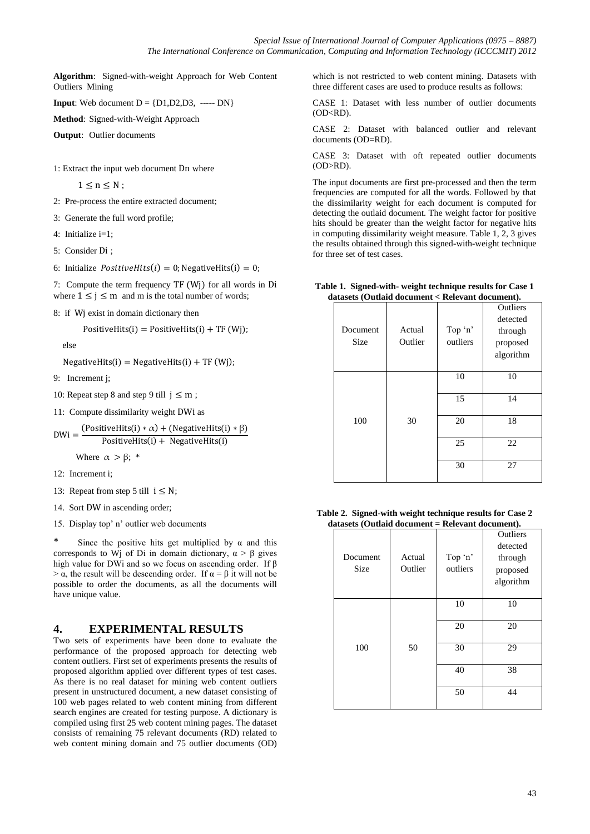**Algorithm**: Signed-with-weight Approach for Web Content Outliers Mining

**Input**: Web document  $D = \{D1, D2, D3, \dots, DN\}$ 

**Method**: Signed-with-Weight Approach

**Output**: Outlier documents

1: Extract the input web document Dn where

 $1 \leq n \leq N$ ;

2: Pre-process the entire extracted document;

3: Generate the full word profile;

4: Initialize i=1;

5: Consider Di ;

6: Initialize  $PositiveHits(i) = 0$ ; NegativeHits(i) = 0;

7: Compute the term frequency TF (Wj) for all words in Di where  $1 \le j \le m$  and m is the total number of words;

8: if Wj exist in domain dictionary then

 $PositiveHits(i) = PositiveHits(i) + TF(Wj);$ 

else

 $NegativeHits(i) = NegativeHits(i) + TF(Wj);$ 

9: Increment j;

- 10: Repeat step 8 and step 9 till  $j \leq m$ ;
- 11: Compute dissimilarity weight DWi as

$$
DWi = \frac{(PositiveHits(i) * \alpha) + (NegativeHits(i) * \beta)}{PositiveHits(i) + NegativeHits(i)}
$$

Where  $\alpha > \beta$ ; \*

12: Increment i;

13: Repeat from step 5 till  $i \leq N$ ;

14. Sort DW in ascending order;

15. Display top" n" outlier web documents

\* Since the positive hits get multiplied by  $\alpha$  and this corresponds to Wi of Di in domain dictionary,  $\alpha > \beta$  gives high value for DWi and so we focus on ascending order. If β  $> \alpha$ , the result will be descending order. If  $\alpha = \beta$  it will not be possible to order the documents, as all the documents will have unique value.

## **4. EXPERIMENTAL RESULTS**

Two sets of experiments have been done to evaluate the performance of the proposed approach for detecting web content outliers. First set of experiments presents the results of proposed algorithm applied over different types of test cases. As there is no real dataset for mining web content outliers present in unstructured document, a new dataset consisting of 100 web pages related to web content mining from different search engines are created for testing purpose. A dictionary is compiled using first 25 web content mining pages. The dataset consists of remaining 75 relevant documents (RD) related to web content mining domain and 75 outlier documents (OD)

which is not restricted to web content mining. Datasets with three different cases are used to produce results as follows:

CASE 1: Dataset with less number of outlier documents (OD<RD).

CASE 2: Dataset with balanced outlier and relevant documents (OD=RD).

CASE 3: Dataset with oft repeated outlier documents (OD>RD).

The input documents are first pre-processed and then the term frequencies are computed for all the words. Followed by that the dissimilarity weight for each document is computed for detecting the outlaid document. The weight factor for positive hits should be greater than the weight factor for negative hits in computing dissimilarity weight measure. Table 1, 2, 3 gives the results obtained through this signed-with-weight technique for three set of test cases.

|  |                                                  | Table 1. Signed-with- weight technique results for Case 1 |
|--|--------------------------------------------------|-----------------------------------------------------------|
|  | datasets (Outlaid document < Relevant document). |                                                           |

| Document<br><b>Size</b> | Actual<br>Outlier | Top 'n'<br>outliers | Outliers<br>detected<br>through<br>proposed<br>algorithm |
|-------------------------|-------------------|---------------------|----------------------------------------------------------|
|                         |                   | 10                  | 10                                                       |
|                         | 30                | 15                  | 14                                                       |
|                         |                   |                     |                                                          |
| 100                     |                   | 20                  | 18                                                       |
|                         |                   | 25                  | 22                                                       |
|                         |                   | 30                  | 27                                                       |

| Table 2. Signed-with weight technique results for Case 2 |  |
|----------------------------------------------------------|--|
| $datasets$ (Outlaid document = Relevant document).       |  |

| $a$ atasets (Outlaid document = Refevant document). |         |          |           |  |
|-----------------------------------------------------|---------|----------|-----------|--|
|                                                     |         |          | Outliers  |  |
|                                                     |         |          | detected  |  |
| Document                                            | Actual  | Top 'n'  | through   |  |
| Size                                                | Outlier | outliers | proposed  |  |
|                                                     |         |          | algorithm |  |
|                                                     |         |          |           |  |
|                                                     |         | 10       | 10        |  |
|                                                     |         |          |           |  |
|                                                     |         | 20       | 20        |  |
|                                                     |         |          |           |  |
| 100                                                 | 50      | 30       | 29        |  |
|                                                     |         |          |           |  |
|                                                     |         | 40       | 38        |  |
|                                                     |         |          |           |  |
|                                                     |         | 50       | 44        |  |
|                                                     |         |          |           |  |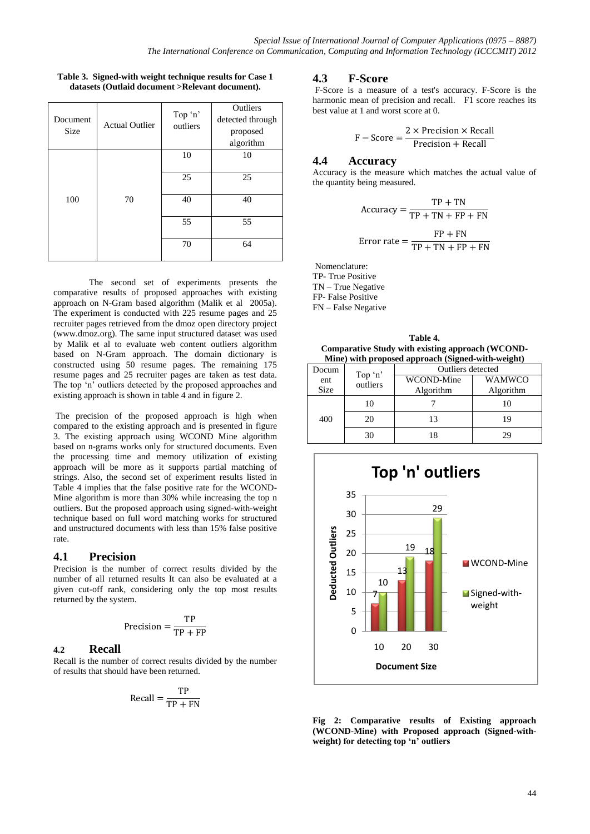| Table 3. Signed-with weight technique results for Case 1 |
|----------------------------------------------------------|
| datasets (Outlaid document >Relevant document).          |

| Document<br><b>Size</b> | <b>Actual Outlier</b> | Top 'n'<br>outliers | Outliers<br>detected through<br>proposed<br>algorithm |
|-------------------------|-----------------------|---------------------|-------------------------------------------------------|
|                         |                       | 10                  | 10                                                    |
|                         |                       | 25                  | 25                                                    |
| 100                     | 70                    | 40                  | 40                                                    |
|                         |                       | 55                  | 55                                                    |
|                         |                       | 70                  | 64                                                    |

The second set of experiments presents the comparative results of proposed approaches with existing approach on N-Gram based algorithm (Malik et al 2005a). The experiment is conducted with 225 resume pages and 25 recruiter pages retrieved from the dmoz open directory project (www.dmoz.org). The same input structured dataset was used by Malik et al to evaluate web content outliers algorithm based on N-Gram approach. The domain dictionary is constructed using 50 resume pages. The remaining 175 resume pages and 25 recruiter pages are taken as test data. The top "n" outliers detected by the proposed approaches and existing approach is shown in table 4 and in figure 2.

The precision of the proposed approach is high when compared to the existing approach and is presented in figure 3. The existing approach using WCOND Mine algorithm based on n-grams works only for structured documents. Even the processing time and memory utilization of existing approach will be more as it supports partial matching of strings. Also, the second set of experiment results listed in Table 4 implies that the false positive rate for the WCOND-Mine algorithm is more than 30% while increasing the top n outliers. But the proposed approach using signed-with-weight technique based on full word matching works for structured and unstructured documents with less than 15% false positive rate.

#### **4.1 Precision**

Precision is the number of correct results divided by the number of all returned results It can also be evaluated at a given cut-off rank, considering only the top most results returned by the system.

$$
Precision = \frac{TP}{TP + FP}
$$

#### **4.2 Recall**

Recall is the number of correct results divided by the number of results that should have been returned.

$$
Recall = \frac{TP}{TP + FN}
$$

## **4.3 F-Score**

F-Score is a measure of a test's accuracy. F-Score is the harmonic mean of precision and recall. F1 score reaches its best value at 1 and worst score at 0.

$$
F - Score = \frac{2 \times Precision \times Recall}{Precision + Recall}
$$

#### **4.4 Accuracy**

Accuracy is the measure which matches the actual value of the quantity being measured.

$$
Accuracy = \frac{TP + TN}{TP + TN + FP + FN}
$$
  
Error rate = 
$$
\frac{FP + FN}{TP + TN + FP + FN}
$$

Nomenclature: TP- True Positive TN – True Negative FP- False Positive FN – False Negative

**Table 4. Comparative Study with existing approach (WCOND-Mine) with proposed approach (Signed-with-weight)** 

| Docum       |                     | Outliers detected |               |  |
|-------------|---------------------|-------------------|---------------|--|
| ent         | Top 'n'<br>outliers | WCOND-Mine        | <b>WAMWCO</b> |  |
| <b>Size</b> |                     | Algorithm         | Algorithm     |  |
| 400         | 10                  |                   |               |  |
|             | 20                  | 13                |               |  |
|             | 30                  |                   |               |  |



**Fig 2: Comparative results of Existing approach (WCOND-Mine) with Proposed approach (Signed-withweight) for detecting top 'n' outliers**